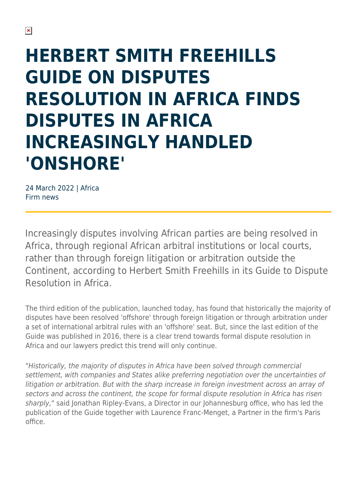## **HERBERT SMITH FREEHILLS GUIDE ON DISPUTES RESOLUTION IN AFRICA FINDS DISPUTES IN AFRICA INCREASINGLY HANDLED 'ONSHORE'**

24 March 2022 | Africa Firm news

Increasingly disputes involving African parties are being resolved in Africa, through regional African arbitral institutions or local courts, rather than through foreign litigation or arbitration outside the Continent, according to Herbert Smith Freehills in its Guide to Dispute Resolution in Africa.

The third edition of the publication, launched today, has found that historically the majority of disputes have been resolved 'offshore' through foreign litigation or through arbitration under a set of international arbitral rules with an 'offshore' seat. But, since the last edition of the Guide was published in 2016, there is a clear trend towards formal dispute resolution in Africa and our lawyers predict this trend will only continue.

"Historically, the majority of disputes in Africa have been solved through commercial settlement, with companies and States alike preferring negotiation over the uncertainties of litigation or arbitration. But with the sharp increase in foreign investment across an array of sectors and across the continent, the scope for formal dispute resolution in Africa has risen sharply," said Jonathan Ripley-Evans, a Director in our Johannesburg office, who has led the publication of the Guide together with Laurence Franc-Menget, a Partner in the firm's Paris office.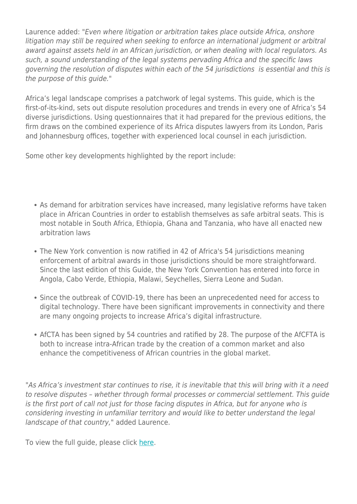Laurence added: "Even where litigation or arbitration takes place outside Africa, onshore litigation may still be required when seeking to enforce an international judgment or arbitral award against assets held in an African jurisdiction, or when dealing with local regulators. As such, a sound understanding of the legal systems pervading Africa and the specific laws governing the resolution of disputes within each of the 54 jurisdictions is essential and this is the purpose of this guide."

Africa's legal landscape comprises a patchwork of legal systems. This guide, which is the first-of-its-kind, sets out dispute resolution procedures and trends in every one of Africa's 54 diverse jurisdictions. Using questionnaires that it had prepared for the previous editions, the firm draws on the combined experience of its Africa disputes lawyers from its London, Paris and Johannesburg offices, together with experienced local counsel in each jurisdiction.

Some other key developments highlighted by the report include:

- As demand for arbitration services have increased, many legislative reforms have taken place in African Countries in order to establish themselves as safe arbitral seats. This is most notable in South Africa, Ethiopia, Ghana and Tanzania, who have all enacted new arbitration laws
- The New York convention is now ratified in 42 of Africa's 54 jurisdictions meaning enforcement of arbitral awards in those jurisdictions should be more straightforward. Since the last edition of this Guide, the New York Convention has entered into force in Angola, Cabo Verde, Ethiopia, Malawi, Seychelles, Sierra Leone and Sudan.
- Since the outbreak of COVID-19, there has been an unprecedented need for access to digital technology. There have been significant improvements in connectivity and there are many ongoing projects to increase Africa's digital infrastructure.
- AfCTA has been signed by 54 countries and ratified by 28. The purpose of the AfCFTA is both to increase intra-African trade by the creation of a common market and also enhance the competitiveness of African countries in the global market.

"As Africa's investment star continues to rise, it is inevitable that this will bring with it a need to resolve disputes – whether through formal processes or commercial settlement. This guide is the first port of call not just for those facing disputes in Africa, but for anyone who is considering investing in unfamiliar territory and would like to better understand the legal landscape of that country," added Laurence.

To view the full guide, please click [here.](https://www.herbertsmithfreehills.com/insight/africa-disputes-guide-2022)